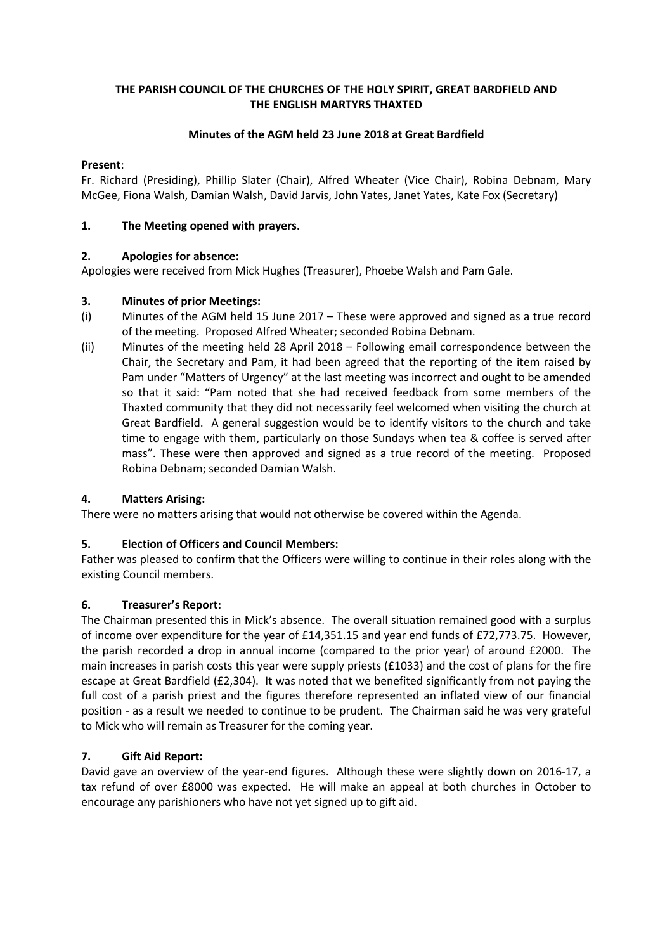## **THE PARISH COUNCIL OF THE CHURCHES OF THE HOLY SPIRIT, GREAT BARDFIELD AND THE ENGLISH MARTYRS THAXTED**

### **Minutes of the AGM held 23 June 2018 at Great Bardfield**

### **Present**:

Fr. Richard (Presiding), Phillip Slater (Chair), Alfred Wheater (Vice Chair), Robina Debnam, Mary McGee, Fiona Walsh, Damian Walsh, David Jarvis, John Yates, Janet Yates, Kate Fox (Secretary)

### **1. The Meeting opened with prayers.**

### **2. Apologies for absence:**

Apologies were received from Mick Hughes (Treasurer), Phoebe Walsh and Pam Gale.

### **3. Minutes of prior Meetings:**

- (i) Minutes of the AGM held 15 June 2017 These were approved and signed as a true record of the meeting. Proposed Alfred Wheater; seconded Robina Debnam.
- (ii) Minutes of the meeting held 28 April 2018 Following email correspondence between the Chair, the Secretary and Pam, it had been agreed that the reporting of the item raised by Pam under "Matters of Urgency" at the last meeting was incorrect and ought to be amended so that it said: "Pam noted that she had received feedback from some members of the Thaxted community that they did not necessarily feel welcomed when visiting the church at Great Bardfield. A general suggestion would be to identify visitors to the church and take time to engage with them, particularly on those Sundays when tea & coffee is served after mass". These were then approved and signed as a true record of the meeting. Proposed Robina Debnam; seconded Damian Walsh.

#### **4. Matters Arising:**

There were no matters arising that would not otherwise be covered within the Agenda.

#### **5. Election of Officers and Council Members:**

Father was pleased to confirm that the Officers were willing to continue in their roles along with the existing Council members.

#### **6. Treasurer's Report:**

The Chairman presented this in Mick's absence. The overall situation remained good with a surplus of income over expenditure for the year of £14,351.15 and year end funds of £72,773.75. However, the parish recorded a drop in annual income (compared to the prior year) of around £2000. The main increases in parish costs this year were supply priests (£1033) and the cost of plans for the fire escape at Great Bardfield (£2,304). It was noted that we benefited significantly from not paying the full cost of a parish priest and the figures therefore represented an inflated view of our financial position - as a result we needed to continue to be prudent. The Chairman said he was very grateful to Mick who will remain as Treasurer for the coming year.

#### **7. Gift Aid Report:**

David gave an overview of the year-end figures. Although these were slightly down on 2016-17, a tax refund of over £8000 was expected. He will make an appeal at both churches in October to encourage any parishioners who have not yet signed up to gift aid.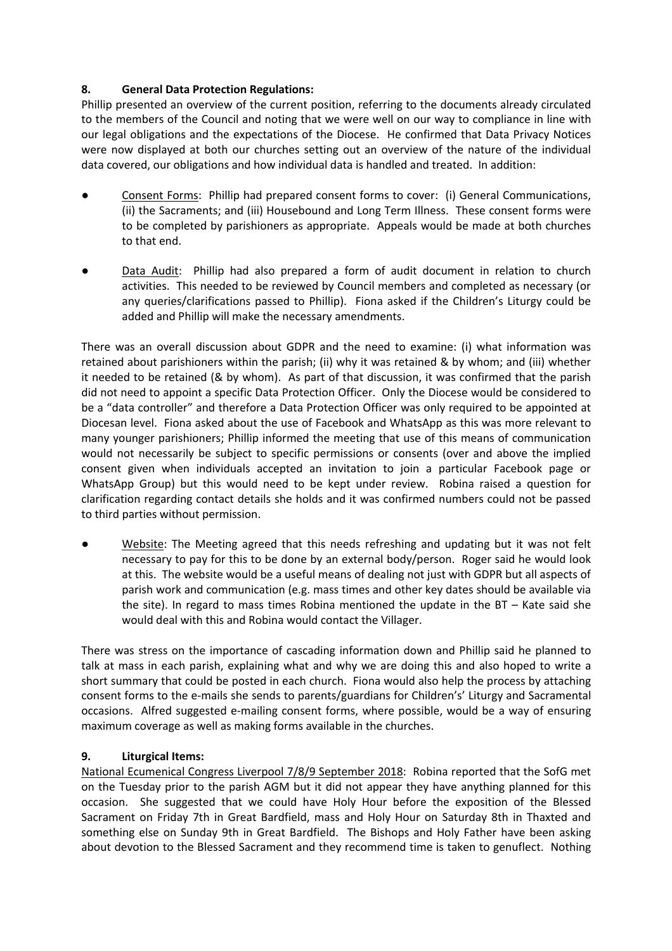## **8. General Data Protection Regulations:**

Phillip presented an overview of the current position, referring to the documents already circulated to the members of the Council and noting that we were well on our way to compliance in line with our legal obligations and the expectations of the Diocese. He confirmed that Data Privacy Notices were now displayed at both our churches setting out an overview of the nature of the individual data covered, our obligations and how individual data is handled and treated. In addition:

- Consent Forms: Phillip had prepared consent forms to cover: (i) General Communications, (ii) the Sacraments; and (iii) Housebound and Long Term Illness. These consent forms were to be completed by parishioners as appropriate. Appeals would be made at both churches to that end.
- Data Audit: Phillip had also prepared a form of audit document in relation to church activities. This needed to be reviewed by Council members and completed as necessary (or any queries/clarifications passed to Phillip). Fiona asked if the Children's Liturgy could be added and Phillip will make the necessary amendments.

There was an overall discussion about GDPR and the need to examine: (i) what information was retained about parishioners within the parish; (ii) why it was retained & by whom; and (iii) whether it needed to be retained (& by whom). As part of that discussion, it was confirmed that the parish did not need to appoint a specific Data Protection Officer. Only the Diocese would be considered to be a "data controller" and therefore a Data Protection Officer was only required to be appointed at Diocesan level. Fiona asked about the use of Facebook and WhatsApp as this was more relevant to many younger parishioners; Phillip informed the meeting that use of this means of communication would not necessarily be subject to specific permissions or consents (over and above the implied consent given when individuals accepted an invitation to join a particular Facebook page or WhatsApp Group) but this would need to be kept under review. Robina raised a question for clarification regarding contact details she holds and it was confirmed numbers could not be passed to third parties without permission.

Website: The Meeting agreed that this needs refreshing and updating but it was not felt necessary to pay for this to be done by an external body/person. Roger said he would look at this. The website would be a useful means of dealing not just with GDPR but all aspects of parish work and communication (e.g. mass times and other key dates should be available via the site). In regard to mass times Robina mentioned the update in the BT – Kate said she would deal with this and Robina would contact the Villager.

There was stress on the importance of cascading information down and Phillip said he planned to talk at mass in each parish, explaining what and why we are doing this and also hoped to write a short summary that could be posted in each church. Fiona would also help the process by attaching consent forms to the e-mails she sends to parents/guardians for Children's' Liturgy and Sacramental occasions. Alfred suggested e-mailing consent forms, where possible, would be a way of ensuring maximum coverage as well as making forms available in the churches.

## **9. Liturgical Items:**

National Ecumenical Congress Liverpool 7/8/9 September 2018: Robina reported that the SofG met on the Tuesday prior to the parish AGM but it did not appear they have anything planned for this occasion. She suggested that we could have Holy Hour before the exposition of the Blessed Sacrament on Friday 7th in Great Bardfield, mass and Holy Hour on Saturday 8th in Thaxted and something else on Sunday 9th in Great Bardfield. The Bishops and Holy Father have been asking about devotion to the Blessed Sacrament and they recommend time is taken to genuflect. Nothing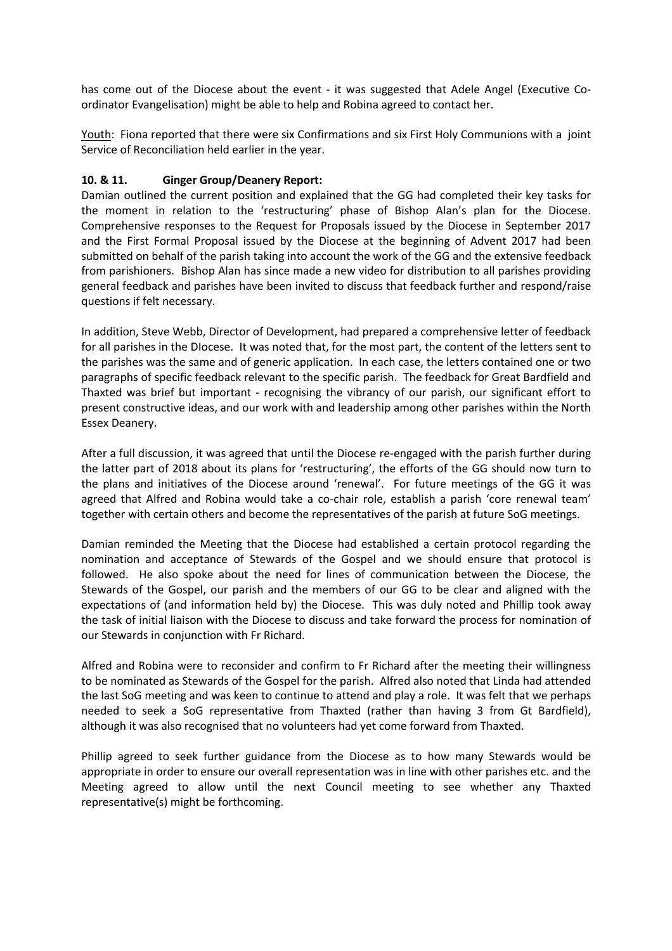has come out of the Diocese about the event - it was suggested that Adele Angel (Executive Coordinator Evangelisation) might be able to help and Robina agreed to contact her.

Youth: Fiona reported that there were six Confirmations and six First Holy Communions with a joint Service of Reconciliation held earlier in the year.

#### **10. & 11. Ginger Group/Deanery Report:**

Damian outlined the current position and explained that the GG had completed their key tasks for the moment in relation to the 'restructuring' phase of Bishop Alan's plan for the Diocese. Comprehensive responses to the Request for Proposals issued by the Diocese in September 2017 and the First Formal Proposal issued by the Diocese at the beginning of Advent 2017 had been submitted on behalf of the parish taking into account the work of the GG and the extensive feedback from parishioners. Bishop Alan has since made a new video for distribution to all parishes providing general feedback and parishes have been invited to discuss that feedback further and respond/raise questions if felt necessary.

In addition, Steve Webb, Director of Development, had prepared a comprehensive letter of feedback for all parishes in the DIocese. It was noted that, for the most part, the content of the letters sent to the parishes was the same and of generic application. In each case, the letters contained one or two paragraphs of specific feedback relevant to the specific parish. The feedback for Great Bardfield and Thaxted was brief but important - recognising the vibrancy of our parish, our significant effort to present constructive ideas, and our work with and leadership among other parishes within the North Essex Deanery.

After a full discussion, it was agreed that until the Diocese re-engaged with the parish further during the latter part of 2018 about its plans for 'restructuring', the efforts of the GG should now turn to the plans and initiatives of the Diocese around 'renewal'. For future meetings of the GG it was agreed that Alfred and Robina would take a co-chair role, establish a parish 'core renewal team' together with certain others and become the representatives of the parish at future SoG meetings.

Damian reminded the Meeting that the Diocese had established a certain protocol regarding the nomination and acceptance of Stewards of the Gospel and we should ensure that protocol is followed. He also spoke about the need for lines of communication between the Diocese, the Stewards of the Gospel, our parish and the members of our GG to be clear and aligned with the expectations of (and information held by) the Diocese. This was duly noted and Phillip took away the task of initial liaison with the Diocese to discuss and take forward the process for nomination of our Stewards in conjunction with Fr Richard.

Alfred and Robina were to reconsider and confirm to Fr Richard after the meeting their willingness to be nominated as Stewards of the Gospel for the parish. Alfred also noted that Linda had attended the last SoG meeting and was keen to continue to attend and play a role. It was felt that we perhaps needed to seek a SoG representative from Thaxted (rather than having 3 from Gt Bardfield), although it was also recognised that no volunteers had yet come forward from Thaxted.

Phillip agreed to seek further guidance from the Diocese as to how many Stewards would be appropriate in order to ensure our overall representation was in line with other parishes etc. and the Meeting agreed to allow until the next Council meeting to see whether any Thaxted representative(s) might be forthcoming.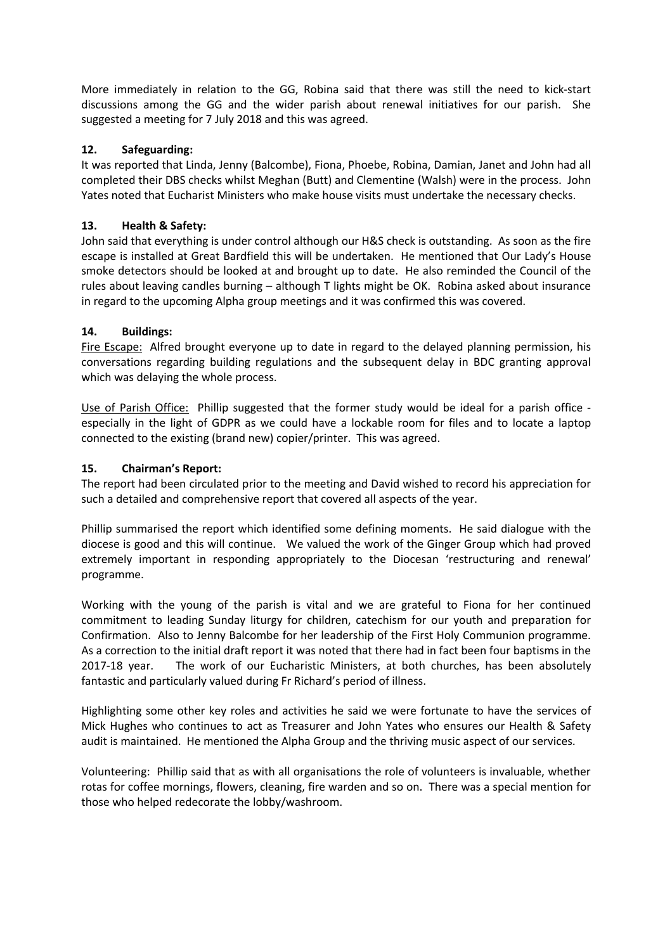More immediately in relation to the GG, Robina said that there was still the need to kick-start discussions among the GG and the wider parish about renewal initiatives for our parish. She suggested a meeting for 7 July 2018 and this was agreed.

## **12. Safeguarding:**

It was reported that Linda, Jenny (Balcombe), Fiona, Phoebe, Robina, Damian, Janet and John had all completed their DBS checks whilst Meghan (Butt) and Clementine (Walsh) were in the process. John Yates noted that Eucharist Ministers who make house visits must undertake the necessary checks.

## **13. Health & Safety:**

John said that everything is under control although our H&S check is outstanding. As soon as the fire escape is installed at Great Bardfield this will be undertaken. He mentioned that Our Lady's House smoke detectors should be looked at and brought up to date. He also reminded the Council of the rules about leaving candles burning – although T lights might be OK. Robina asked about insurance in regard to the upcoming Alpha group meetings and it was confirmed this was covered.

# **14. Buildings:**

Fire Escape: Alfred brought everyone up to date in regard to the delayed planning permission, his conversations regarding building regulations and the subsequent delay in BDC granting approval which was delaying the whole process.

Use of Parish Office: Phillip suggested that the former study would be ideal for a parish office especially in the light of GDPR as we could have a lockable room for files and to locate a laptop connected to the existing (brand new) copier/printer. This was agreed.

## **15. Chairman's Report:**

The report had been circulated prior to the meeting and David wished to record his appreciation for such a detailed and comprehensive report that covered all aspects of the year.

Phillip summarised the report which identified some defining moments. He said dialogue with the diocese is good and this will continue. We valued the work of the Ginger Group which had proved extremely important in responding appropriately to the Diocesan 'restructuring and renewal' programme.

Working with the young of the parish is vital and we are grateful to Fiona for her continued commitment to leading Sunday liturgy for children, catechism for our youth and preparation for Confirmation. Also to Jenny Balcombe for her leadership of the First Holy Communion programme. As a correction to the initial draft report it was noted that there had in fact been four baptisms in the 2017-18 year. The work of our Eucharistic Ministers, at both churches, has been absolutely fantastic and particularly valued during Fr Richard's period of illness.

Highlighting some other key roles and activities he said we were fortunate to have the services of Mick Hughes who continues to act as Treasurer and John Yates who ensures our Health & Safety audit is maintained. He mentioned the Alpha Group and the thriving music aspect of our services.

Volunteering: Phillip said that as with all organisations the role of volunteers is invaluable, whether rotas for coffee mornings, flowers, cleaning, fire warden and so on. There was a special mention for those who helped redecorate the lobby/washroom.